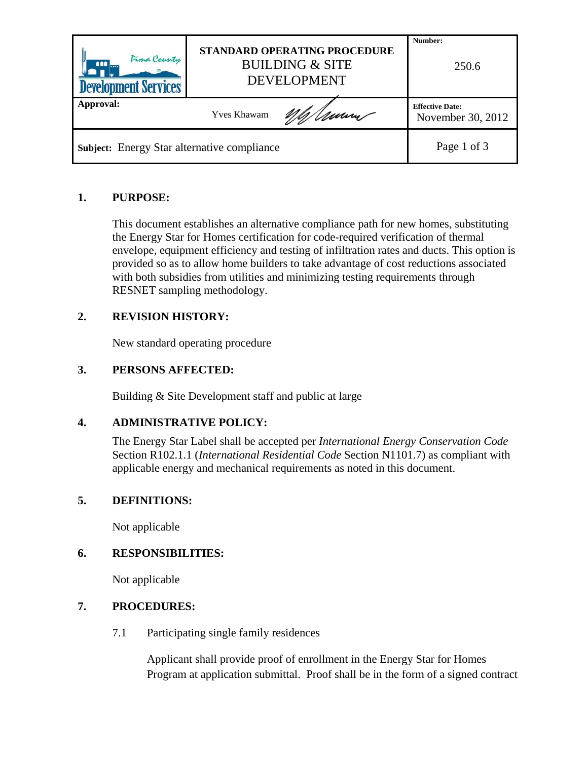| Pima County<br>ana l<br><b>Development Services</b> | <b>STANDARD OPERATING PROCEDURE</b><br><b>BUILDING &amp; SITE</b><br><b>DEVELOPMENT</b> |                                             |  |  |
|-----------------------------------------------------|-----------------------------------------------------------------------------------------|---------------------------------------------|--|--|
| Approval:                                           | Mh Umm<br><b>Yves Khawam</b>                                                            | <b>Effective Date:</b><br>November 30, 2012 |  |  |
| Subject: Energy Star alternative compliance         | Page 1 of 3                                                                             |                                             |  |  |

### **1. PURPOSE:**

This document establishes an alternative compliance path for new homes, substituting the Energy Star for Homes certification for code-required verification of thermal envelope, equipment efficiency and testing of infiltration rates and ducts. This option is provided so as to allow home builders to take advantage of cost reductions associated with both subsidies from utilities and minimizing testing requirements through RESNET sampling methodology.

# **2. REVISION HISTORY:**

New standard operating procedure

#### **3. PERSONS AFFECTED:**

Building & Site Development staff and public at large

#### **4. ADMINISTRATIVE POLICY:**

The Energy Star Label shall be accepted per *International Energy Conservation Code* Section R102.1.1 (*International Residential Code* Section N1101.7) as compliant with applicable energy and mechanical requirements as noted in this document.

#### **5. DEFINITIONS:**

Not applicable

#### **6. RESPONSIBILITIES:**

Not applicable

#### **7. PROCEDURES:**

7.1 Participating single family residences

Applicant shall provide proof of enrollment in the Energy Star for Homes Program at application submittal. Proof shall be in the form of a signed contract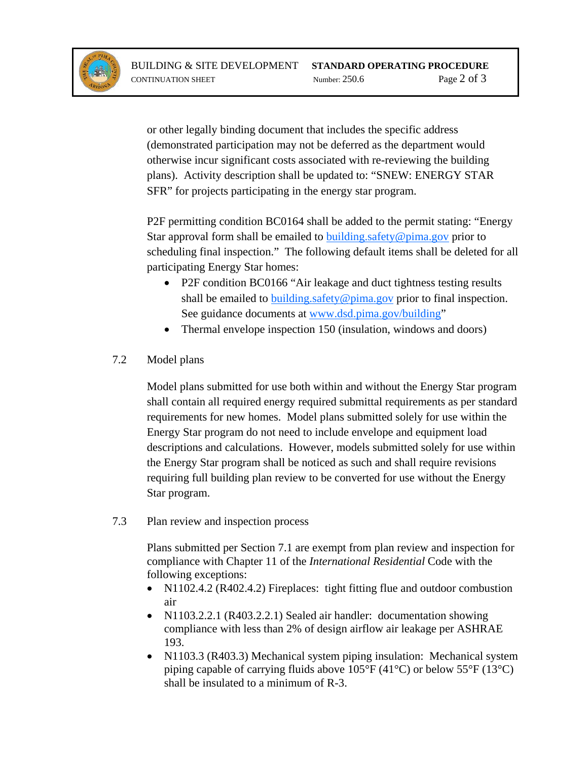

or other legally binding document that includes the specific address (demonstrated participation may not be deferred as the department would otherwise incur significant costs associated with re-reviewing the building plans). Activity description shall be updated to: "SNEW: ENERGY STAR SFR" for projects participating in the energy star program.

P2F permitting condition BC0164 shall be added to the permit stating: "Energy Star approval form shall be emailed to **building** safety @pima.gov prior to scheduling final inspection." The following default items shall be deleted for all participating Energy Star homes:

- P2F condition BC0166 "Air leakage and duct tightness testing results shall be emailed to building safety  $@pima.gov$  prior to final inspection. See guidance documents at [www.dsd.pima.gov/building"](http://www.dsd.pima.gov/building)
- Thermal envelope inspection 150 (insulation, windows and doors)

# 7.2 Model plans

Model plans submitted for use both within and without the Energy Star program shall contain all required energy required submittal requirements as per standard requirements for new homes. Model plans submitted solely for use within the Energy Star program do not need to include envelope and equipment load descriptions and calculations. However, models submitted solely for use within the Energy Star program shall be noticed as such and shall require revisions requiring full building plan review to be converted for use without the Energy Star program.

7.3 Plan review and inspection process

Plans submitted per Section 7.1 are exempt from plan review and inspection for compliance with Chapter 11 of the *International Residential* Code with the following exceptions:

- N1102.4.2 (R402.4.2) Fireplaces: tight fitting flue and outdoor combustion air
- N1103.2.2.1 (R403.2.2.1) Sealed air handler: documentation showing compliance with less than 2% of design airflow air leakage per ASHRAE 193.
- N1103.3 (R403.3) Mechanical system piping insulation: Mechanical system piping capable of carrying fluids above 105°F (41°C) or below 55°F (13°C) shall be insulated to a minimum of R-3.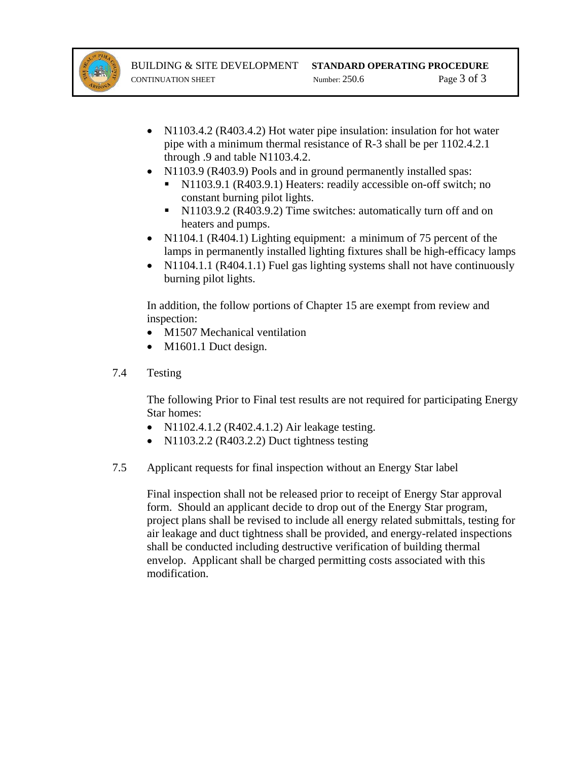

- N1103.4.2 (R403.4.2) Hot water pipe insulation: insulation for hot water pipe with a minimum thermal resistance of R-3 shall be per 1102.4.2.1 through .9 and table N1103.4.2.
- N1103.9 (R403.9) Pools and in ground permanently installed spas:
	- N1103.9.1 (R403.9.1) Heaters: readily accessible on-off switch; no constant burning pilot lights.
	- N1103.9.2 (R403.9.2) Time switches: automatically turn off and on heaters and pumps.
- N1104.1 (R404.1) Lighting equipment: a minimum of 75 percent of the lamps in permanently installed lighting fixtures shall be high-efficacy lamps
- N1104.1.1 (R404.1.1) Fuel gas lighting systems shall not have continuously burning pilot lights.

In addition, the follow portions of Chapter 15 are exempt from review and inspection:

- M1507 Mechanical ventilation
- M1601.1 Duct design.
- 7.4 Testing

The following Prior to Final test results are not required for participating Energy Star homes:

- N1102.4.1.2 (R402.4.1.2) Air leakage testing.
- N1103.2.2 (R403.2.2) Duct tightness testing
- 7.5 Applicant requests for final inspection without an Energy Star label

Final inspection shall not be released prior to receipt of Energy Star approval form. Should an applicant decide to drop out of the Energy Star program, project plans shall be revised to include all energy related submittals, testing for air leakage and duct tightness shall be provided, and energy-related inspections shall be conducted including destructive verification of building thermal envelop. Applicant shall be charged permitting costs associated with this modification.